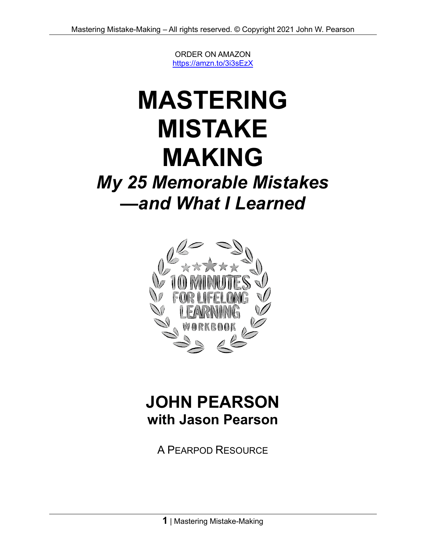ORDER ON AMAZON <https://amzn.to/3i3sEzX>

# **MASTERING MISTAKE MAKING**

# *My 25 Memorable Mistakes —and What I Learned*



## **JOHN PEARSON with Jason Pearson**

A PEARPOD RESOURCE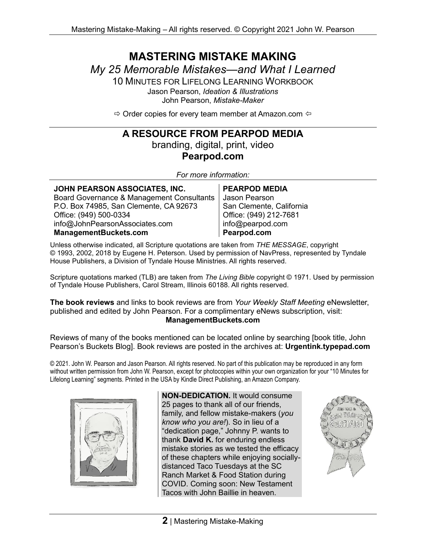# **MASTERING MISTAKE MAKING**

*My 25 Memorable Mistakes—and What I Learned*

10 MINUTES FOR LIFELONG LEARNING WORKBOOK Jason Pearson, *Ideation & Illustrations* John Pearson, *Mistake-Maker*

 $\Rightarrow$  Order copies for every team member at Amazon.com  $\Leftrightarrow$ 

#### **A RESOURCE FROM PEARPOD MEDIA**

branding, digital, print, video **Pearpod.com**

*For more information:*

| <b>PEARPOD MEDIA</b>     |
|--------------------------|
| Jason Pearson            |
| San Clemente, California |
| Office: (949) 212-7681   |
| info@pearpod.com         |
| Pearpod.com              |
|                          |

Unless otherwise indicated, all Scripture quotations are taken from *THE MESSAGE*, copyright © 1993, 2002, 2018 by Eugene H. Peterson. Used by permission of NavPress, represented by Tyndale House Publishers, a Division of Tyndale House Ministries. All rights reserved.

Scripture quotations marked (TLB) are taken from *The Living Bible* copyright © 1971. Used by permission of Tyndale House Publishers, Carol Stream, Illinois 60188. All rights reserved.

**The book reviews** and links to book reviews are from *Your Weekly Staff Meeting* eNewsletter, published and edited by John Pearson. For a complimentary eNews subscription, visit: **ManagementBuckets.com**

Reviews of many of the books mentioned can be located online by searching [book title, John Pearson's Buckets Blog]. Book reviews are posted in the archives at: **Urgentink.typepad.com**

© 2021. John W. Pearson and Jason Pearson. All rights reserved. No part of this publication may be reproduced in any form without written permission from John W. Pearson, except for photocopies within your own organization for your "10 Minutes for Lifelong Learning" segments. Printed in the USA by Kindle Direct Publishing, an Amazon Company.



**NON-DEDICATION.** It would consume 25 pages to thank all of our friends, family, and fellow mistake-makers (*you know who you are!*). So in lieu of a "dedication page," Johnny P. wants to thank **David K.** for enduring endless mistake stories as we tested the efficacy of these chapters while enjoying sociallydistanced Taco Tuesdays at the SC Ranch Market & Food Station during COVID. Coming soon: New Testament Tacos with John Baillie in heaven.

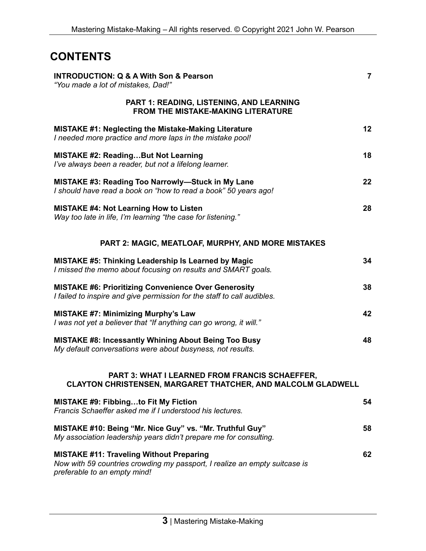### **CONTENTS**

| <b>INTRODUCTION: Q &amp; A With Son &amp; Pearson</b><br>"You made a lot of mistakes, Dad!"                                                                   | $\overline{7}$ |
|---------------------------------------------------------------------------------------------------------------------------------------------------------------|----------------|
| PART 1: READING, LISTENING, AND LEARNING<br><b>FROM THE MISTAKE-MAKING LITERATURE</b>                                                                         |                |
| <b>MISTAKE #1: Neglecting the Mistake-Making Literature</b><br>I needed more practice and more laps in the mistake pool!                                      | 12             |
| <b>MISTAKE #2: ReadingBut Not Learning</b><br>I've always been a reader, but not a lifelong learner.                                                          | 18             |
| MISTAKE #3: Reading Too Narrowly-Stuck in My Lane<br>I should have read a book on "how to read a book" 50 years ago!                                          | 22             |
| <b>MISTAKE #4: Not Learning How to Listen</b><br>Way too late in life, I'm learning "the case for listening."                                                 | 28             |
| <b>PART 2: MAGIC, MEATLOAF, MURPHY, AND MORE MISTAKES</b>                                                                                                     |                |
| <b>MISTAKE #5: Thinking Leadership Is Learned by Magic</b><br>I missed the memo about focusing on results and SMART goals.                                    | 34             |
| <b>MISTAKE #6: Prioritizing Convenience Over Generosity</b><br>I failed to inspire and give permission for the staff to call audibles.                        | 38             |
| <b>MISTAKE #7: Minimizing Murphy's Law</b><br>I was not yet a believer that "If anything can go wrong, it will."                                              | 42             |
| <b>MISTAKE #8: Incessantly Whining About Being Too Busy</b><br>My default conversations were about busyness, not results.                                     | 48             |
| <b>PART 3: WHAT I LEARNED FROM FRANCIS SCHAEFFER,</b><br>CLAYTON CHRISTENSEN, MARGARET THATCHER, AND MALCOLM GLADWELL                                         |                |
| <b>MISTAKE #9: Fibbingto Fit My Fiction</b><br>Francis Schaeffer asked me if I understood his lectures.                                                       | 54             |
| MISTAKE #10: Being "Mr. Nice Guy" vs. "Mr. Truthful Guy"<br>My association leadership years didn't prepare me for consulting.                                 | 58             |
| <b>MISTAKE #11: Traveling Without Preparing</b><br>Now with 59 countries crowding my passport, I realize an empty suitcase is<br>preferable to an empty mind! | 62             |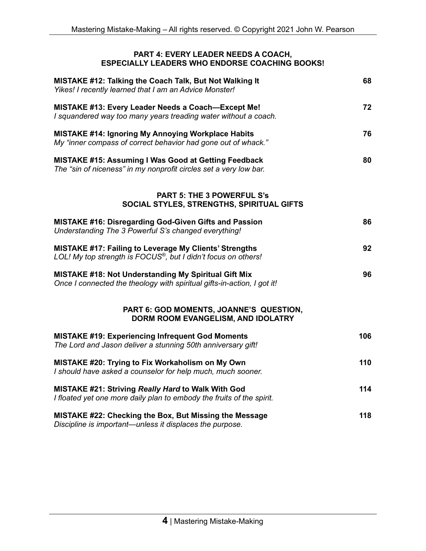#### **PART 4: EVERY LEADER NEEDS A COACH, ESPECIALLY LEADERS WHO ENDORSE COACHING BOOKS!**

| MISTAKE #12: Talking the Coach Talk, But Not Walking It<br>Yikes! I recently learned that I am an Advice Monster!                      | 68  |
|----------------------------------------------------------------------------------------------------------------------------------------|-----|
| MISTAKE #13: Every Leader Needs a Coach-Except Me!<br>I squandered way too many years treading water without a coach.                  | 72  |
| <b>MISTAKE #14: Ignoring My Annoying Workplace Habits</b><br>My "inner compass of correct behavior had gone out of whack."             | 76  |
| <b>MISTAKE #15: Assuming I Was Good at Getting Feedback</b><br>The "sin of niceness" in my nonprofit circles set a very low bar.       | 80  |
| <b>PART 5: THE 3 POWERFUL S's</b><br>SOCIAL STYLES, STRENGTHS, SPIRITUAL GIFTS                                                         |     |
| <b>MISTAKE #16: Disregarding God-Given Gifts and Passion</b><br>Understanding The 3 Powerful S's changed everything!                   | 86  |
| <b>MISTAKE #17: Failing to Leverage My Clients' Strengths</b><br>LOL! My top strength is FOCUS®, but I didn't focus on others!         | 92  |
| <b>MISTAKE #18: Not Understanding My Spiritual Gift Mix</b><br>Once I connected the theology with spiritual gifts-in-action, I got it! | 96  |
| PART 6: GOD MOMENTS, JOANNE'S QUESTION,<br>DORM ROOM EVANGELISM, AND IDOLATRY                                                          |     |
| <b>MISTAKE #19: Experiencing Infrequent God Moments</b><br>The Lord and Jason deliver a stunning 50th anniversary gift!                | 106 |
| MISTAKE #20: Trying to Fix Workaholism on My Own<br>I should have asked a counselor for help much, much sooner.                        | 110 |
| MISTAKE #21: Striving Really Hard to Walk With God<br>I floated yet one more daily plan to embody the fruits of the spirit.            | 114 |
| MISTAKE #22: Checking the Box, But Missing the Message<br>Discipline is important—unless it displaces the purpose.                     | 118 |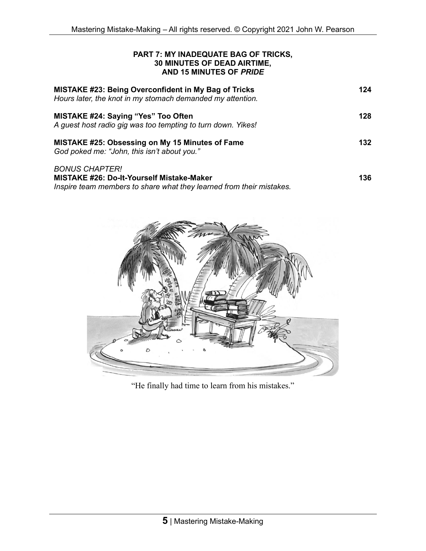#### **PART 7: MY INADEQUATE BAG OF TRICKS, 30 MINUTES OF DEAD AIRTIME, AND 15 MINUTES OF** *PRIDE*

| <b>MISTAKE #23: Being Overconfident in My Bag of Tricks</b><br>Hours later, the knot in my stomach demanded my attention.                  | 124  |
|--------------------------------------------------------------------------------------------------------------------------------------------|------|
| <b>MISTAKE #24: Saying "Yes" Too Often</b><br>A guest host radio gig was too tempting to turn down. Yikes!                                 | 128  |
| MISTAKE #25: Obsessing on My 15 Minutes of Fame<br>God poked me: "John, this isn't about you."                                             | 132  |
| <b>BONUS CHAPTER!</b><br>MISTAKE #26: Do-It-Yourself Mistake-Maker<br>Inspire team members to share what they learned from their mistakes. | 136. |



"He finally had time to learn from his mistakes."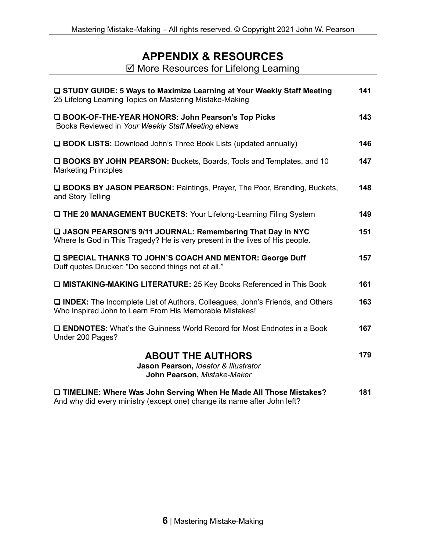### **APPENDIX & RESOURCES**

**Ø More Resources for Lifelong Learning** 

| □ STUDY GUIDE: 5 Ways to Maximize Learning at Your Weekly Staff Meeting<br>25 Lifelong Learning Topics on Mastering Mistake-Making              | 141 |
|-------------------------------------------------------------------------------------------------------------------------------------------------|-----|
| □ BOOK-OF-THE-YEAR HONORS: John Pearson's Top Picks<br>Books Reviewed in Your Weekly Staff Meeting eNews                                        | 143 |
| <b>Q BOOK LISTS:</b> Download John's Three Book Lists (updated annually)                                                                        | 146 |
| <b>Q BOOKS BY JOHN PEARSON:</b> Buckets, Boards, Tools and Templates, and 10<br><b>Marketing Principles</b>                                     | 147 |
| <b>Q BOOKS BY JASON PEARSON:</b> Paintings, Prayer, The Poor, Branding, Buckets,<br>and Story Telling                                           | 148 |
| <b>Q THE 20 MANAGEMENT BUCKETS: Your Lifelong-Learning Filing System</b>                                                                        | 149 |
| JASON PEARSON'S 9/11 JOURNAL: Remembering That Day in NYC<br>Where Is God in This Tragedy? He is very present in the lives of His people.       | 151 |
| <b>Q SPECIAL THANKS TO JOHN'S COACH AND MENTOR: George Duff</b><br>Duff quotes Drucker: "Do second things not at all."                          | 157 |
| <b>D MISTAKING-MAKING LITERATURE: 25 Key Books Referenced in This Book</b>                                                                      | 161 |
| INDEX: The Incomplete List of Authors, Colleagues, John's Friends, and Others<br>Who Inspired John to Learn From His Memorable Mistakes!        | 163 |
| <b>Q ENDNOTES:</b> What's the Guinness World Record for Most Endnotes in a Book<br>Under 200 Pages?                                             | 167 |
| <b>ABOUT THE AUTHORS</b><br>Jason Pearson, Ideator & Illustrator<br>John Pearson, Mistake-Maker                                                 | 179 |
| □ TIMELINE: Where Was John Serving When He Made All Those Mistakes?<br>And why did every ministry (except one) change its name after John left? | 181 |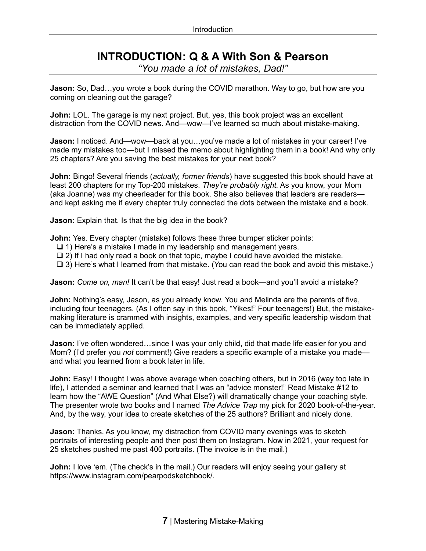### **INTRODUCTION: Q & A With Son & Pearson**

*"You made a lot of mistakes, Dad!"*

**Jason:** So, Dad…you wrote a book during the COVID marathon. Way to go, but how are you coming on cleaning out the garage?

**John:** LOL. The garage is my next project. But, yes, this book project was an excellent distraction from the COVID news. And—wow—I've learned so much about mistake-making.

**Jason:** I noticed. And—wow—back at you…you've made a lot of mistakes in your career! I've made my mistakes too—but I missed the memo about highlighting them in a book! And why only 25 chapters? Are you saving the best mistakes for your next book?

**John:** Bingo! Several friends (*actually, former friends*) have suggested this book should have at least 200 chapters for my Top-200 mistakes. *They're probably right.* As you know, your Mom (aka Joanne) was my cheerleader for this book. She also believes that leaders are readers and kept asking me if every chapter truly connected the dots between the mistake and a book.

**Jason:** Explain that. Is that the big idea in the book?

**John:** Yes. Every chapter (mistake) follows these three bumper sticker points:

- ❑ 1) Here's a mistake I made in my leadership and management years.
- ❑ 2) If I had only read a book on that topic, maybe I could have avoided the mistake.
- ❑ 3) Here's what I learned from that mistake. (You can read the book and avoid this mistake.)

**Jason:** *Come on, man!* It can't be that easy! Just read a book—and you'll avoid a mistake?

**John:** Nothing's easy, Jason, as you already know. You and Melinda are the parents of five, including four teenagers. (As I often say in this book, "Yikes!" Four teenagers!) But, the mistakemaking literature is crammed with insights, examples, and very specific leadership wisdom that can be immediately applied.

**Jason:** I've often wondered...since I was your only child, did that made life easier for you and Mom? (I'd prefer you *not* comment!) Give readers a specific example of a mistake you made and what you learned from a book later in life.

**John:** Easy! I thought I was above average when coaching others, but in 2016 (way too late in life), I attended a seminar and learned that I was an "advice monster!" Read Mistake #12 to learn how the "AWE Question" (And What Else?) will dramatically change your coaching style. The presenter wrote two books and I named *The Advice Trap* my pick for 2020 book-of-the-year. And, by the way, your idea to create sketches of the 25 authors? Brilliant and nicely done.

**Jason:** Thanks. As you know, my distraction from COVID many evenings was to sketch portraits of interesting people and then post them on Instagram. Now in 2021, your request for 25 sketches pushed me past 400 portraits. (The invoice is in the mail.)

**John:** I love 'em. (The check's in the mail.) Our readers will enjoy seeing your gallery at https://www.instagram.com/pearpodsketchbook/.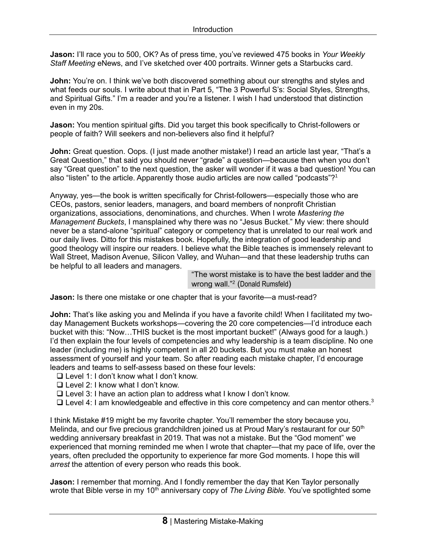**Jason:** I'll race you to 500, OK? As of press time, you've reviewed 475 books in *Your Weekly Staff Meeting* eNews, and I've sketched over 400 portraits. Winner gets a Starbucks card.

**John:** You're on. I think we've both discovered something about our strengths and styles and what feeds our souls. I write about that in Part 5, "The 3 Powerful S's: Social Styles, Strengths, and Spiritual Gifts." I'm a reader and you're a listener. I wish I had understood that distinction even in my 20s.

**Jason:** You mention spiritual gifts. Did you target this book specifically to Christ-followers or people of faith? Will seekers and non-believers also find it helpful?

**John:** Great question. Oops. (I just made another mistake!) I read an article last year, "That's a Great Question," that said you should never "grade" a question—because then when you don't say "Great question" to the next question, the asker will wonder if it was a bad question! You can also "listen" to the article. Apparently those audio articles are now called "podcasts"?<sup>1</sup>

Anyway, yes—the book is written specifically for Christ-followers—especially those who are CEOs, pastors, senior leaders, managers, and board members of nonprofit Christian organizations, associations, denominations, and churches. When I wrote *Mastering the Management Buckets*, I mansplained why there was no "Jesus Bucket." My view: there should never be a stand-alone "spiritual" category or competency that is unrelated to our real work and our daily lives. Ditto for this mistakes book. Hopefully, the integration of good leadership and good theology will inspire our readers. I believe what the Bible teaches is immensely relevant to Wall Street, Madison Avenue, Silicon Valley, and Wuhan—and that these leadership truths can be helpful to all leaders and managers.

"The worst mistake is to have the best ladder and the wrong wall."<sup>2</sup> (Donald Rumsfeld)

**Jason:** Is there one mistake or one chapter that is your favorite—a must-read?

**John:** That's like asking you and Melinda if you have a favorite child! When I facilitated my twoday Management Buckets workshops—covering the 20 core competencies—I'd introduce each bucket with this: "Now…THIS bucket is the most important bucket!" (Always good for a laugh.) I'd then explain the four levels of competencies and why leadership is a team discipline. No one leader (including me) is highly competent in all 20 buckets. But you must make an honest assessment of yourself and your team. So after reading each mistake chapter, I'd encourage leaders and teams to self-assess based on these four levels:

- ❑ Level 1: I don't know what I don't know.
- ❑ Level 2: I know what I don't know.
- ❑ Level 3: I have an action plan to address what I know I don't know.
- ❑ Level 4: I am knowledgeable and effective in this core competency and can mentor others.<sup>3</sup>

I think Mistake #19 might be my favorite chapter. You'll remember the story because you, Melinda, and our five precious grandchildren joined us at Proud Mary's restaurant for our 50<sup>th</sup> wedding anniversary breakfast in 2019. That was not a mistake. But the "God moment" we experienced that morning reminded me when I wrote that chapter—that my pace of life, over the years, often precluded the opportunity to experience far more God moments. I hope this will *arrest* the attention of every person who reads this book.

**Jason:** I remember that morning. And I fondly remember the day that Ken Taylor personally wrote that Bible verse in my 10<sup>th</sup> anniversary copy of *The Living Bible*. You've spotlighted some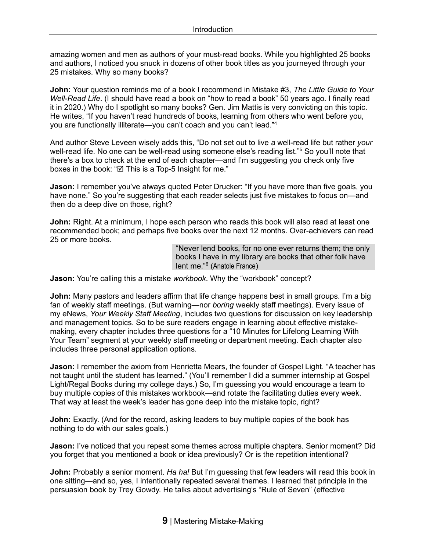amazing women and men as authors of your must-read books. While you highlighted 25 books and authors, I noticed you snuck in dozens of other book titles as you journeyed through your 25 mistakes. Why so many books?

**John:** Your question reminds me of a book I recommend in Mistake #3, *The Little Guide to Your Well-Read Life*. (I should have read a book on "how to read a book" 50 years ago. I finally read it in 2020.) Why do I spotlight so many books? Gen. Jim Mattis is very convicting on this topic. He writes, "If you haven't read hundreds of books, learning from others who went before you, you are functionally illiterate—you can't coach and you can't lead."<sup>4</sup>

And author Steve Leveen wisely adds this, "Do not set out to live *a* well-read life but rather *your* well-read life. No one can be well-read using someone else's reading list."<sup>5</sup> So you'll note that there's a box to check at the end of each chapter—and I'm suggesting you check only five boxes in the book: " $\boxtimes$  This is a Top-5 Insight for me."

**Jason:** I remember you've always quoted Peter Drucker: "If you have more than five goals, you have none." So you're suggesting that each reader selects just five mistakes to focus on—and then do a deep dive on those, right?

**John:** Right. At a minimum, I hope each person who reads this book will also read at least one recommended book; and perhaps five books over the next 12 months. Over-achievers can read 25 or more books.

> "Never lend books, for no one ever returns them; the only books I have in my library are books that other folk have lent me."<sup>6</sup> (Anatole France)

**Jason:** You're calling this a mistake *workbook*. Why the "workbook" concept?

**John:** Many pastors and leaders affirm that life change happens best in small groups. I'm a big fan of weekly staff meetings. (But warning—nor *boring* weekly staff meetings). Every issue of my eNews, *Your Weekly Staff Meeting*, includes two questions for discussion on key leadership and management topics. So to be sure readers engage in learning about effective mistakemaking, every chapter includes three questions for a "10 Minutes for Lifelong Learning With Your Team" segment at your weekly staff meeting or department meeting. Each chapter also includes three personal application options.

**Jason:** I remember the axiom from Henrietta Mears, the founder of Gospel Light. "A teacher has not taught until the student has learned." (You'll remember I did a summer internship at Gospel Light/Regal Books during my college days.) So, I'm guessing you would encourage a team to buy multiple copies of this mistakes workbook—and rotate the facilitating duties every week. That way at least the week's leader has gone deep into the mistake topic, right?

**John:** Exactly. (And for the record, asking leaders to buy multiple copies of the book has nothing to do with our sales goals.)

**Jason:** I've noticed that you repeat some themes across multiple chapters. Senior moment? Did you forget that you mentioned a book or idea previously? Or is the repetition intentional?

**John:** Probably a senior moment. *Ha ha!* But I'm guessing that few leaders will read this book in one sitting—and so, yes, I intentionally repeated several themes. I learned that principle in the persuasion book by Trey Gowdy. He talks about advertising's "Rule of Seven" (effective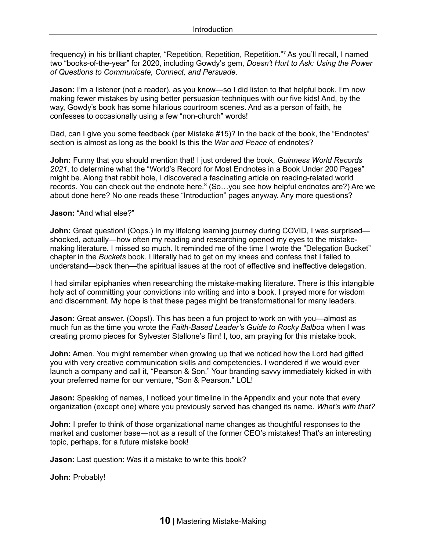frequency) in his brilliant chapter, "Repetition, Repetition, Repetition."<sup>7</sup> As you'll recall, I named two "books-of-the-year" for 2020, including Gowdy's gem, *Doesn't Hurt to Ask: Using the Power of Questions to Communicate, Connect, and Persuade*.

**Jason:** I'm a listener (not a reader), as you know—so I did listen to that helpful book. I'm now making fewer mistakes by using better persuasion techniques with our five kids! And, by the way, Gowdy's book has some hilarious courtroom scenes. And as a person of faith, he confesses to occasionally using a few "non-church" words!

Dad, can I give you some feedback (per Mistake #15)? In the back of the book, the "Endnotes" section is almost as long as the book! Is this the *War and Peace* of endnotes?

**John:** Funny that you should mention that! I just ordered the book, *Guinness World Records 2021*, to determine what the "World's Record for Most Endnotes in a Book Under 200 Pages" might be. Along that rabbit hole, I discovered a fascinating article on reading-related world records. You can check out the endnote here. $8$  (So...you see how helpful endnotes are?) Are we about done here? No one reads these "Introduction" pages anyway. Any more questions?

#### **Jason:** "And what else?"

**John:** Great question! (Oops.) In my lifelong learning journey during COVID, I was surprised shocked, actually—how often my reading and researching opened my eyes to the mistakemaking literature. I missed so much. It reminded me of the time I wrote the "Delegation Bucket" chapter in the *Buckets* book. I literally had to get on my knees and confess that I failed to understand—back then—the spiritual issues at the root of effective and ineffective delegation.

I had similar epiphanies when researching the mistake-making literature. There is this intangible holy act of committing your convictions into writing and into a book. I prayed more for wisdom and discernment. My hope is that these pages might be transformational for many leaders.

**Jason:** Great answer. (Oops!). This has been a fun project to work on with you—almost as much fun as the time you wrote the *Faith-Based Leader's Guide to Rocky Balboa* when I was creating promo pieces for Sylvester Stallone's film! I, too, am praying for this mistake book.

**John:** Amen. You might remember when growing up that we noticed how the Lord had gifted you with very creative communication skills and competencies. I wondered if we would ever launch a company and call it, "Pearson & Son." Your branding savvy immediately kicked in with your preferred name for our venture, "Son & Pearson." LOL!

**Jason:** Speaking of names, I noticed your timeline in the Appendix and your note that every organization (except one) where you previously served has changed its name. *What's with that?*

**John:** I prefer to think of those organizational name changes as thoughtful responses to the market and customer base—not as a result of the former CEO's mistakes! That's an interesting topic, perhaps, for a future mistake book!

**Jason:** Last question: Was it a mistake to write this book?

**John:** Probably!